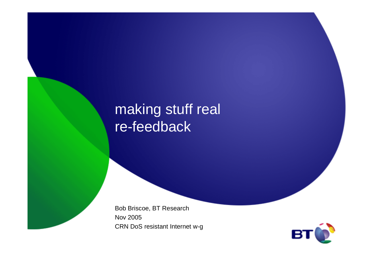### making stuff real re-feedback

Bob Briscoe, BT ResearchNov 2005CRN DoS resistant Internet w-g

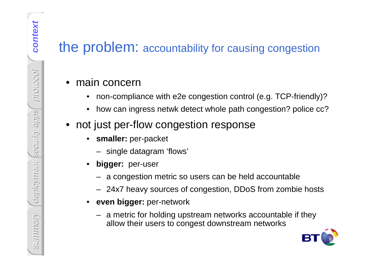- 
- 
- - $\bullet$  **smaller:** per-packet
		- single datagram 'flows'
	- • **bigger:** per-user
		- a congestion metric so users can be held accountable
		- 24x7 heavy sources of congestion, DDoS from zombie hosts
	- •**even bigger:** per-network
- **Example 12 and 12 and 13 and 13 and 13 and 13 and 13 and 13 and 13 and 13 and 13 and 13 and 13 and 13 and 13 and 13 and 13 and 13 and 14 and 15 and 16 and 17 and 18 and 18 and 18 and 18 and 18 and 18 and 18 and 18 and 18** – a metric for holding upstream networks accountable if they allow their users to congest downstream networks

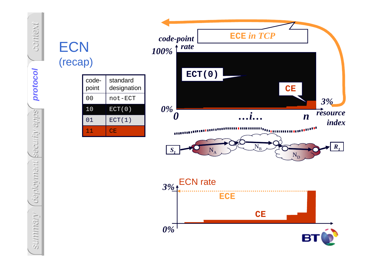## context protocol **protocol** security apps deployment

| <b>CN</b><br>эсар) |                |         |
|--------------------|----------------|---------|
|                    | code-<br>point | st<br>d |

| coge-<br>point | standard<br>designation |
|----------------|-------------------------|
| 0 <sub>0</sub> | not-ECT                 |
| 10             | ECT(0)                  |
| 01             | ECT(1)                  |
| 11             | CΕ.                     |



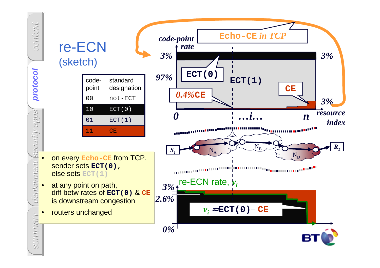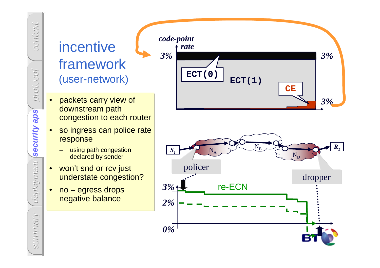### incentive framework(user-network)

context

protocol

security aps

deployment

deployment (

summary

summan

- • packets carry view of downstream path congestion to each router
- **security aps** • so ingress can police rate response
	- using path congestion declared by sender
	- • won't snd or rcv just understate congestion?
	- • no – egress drops negative balance

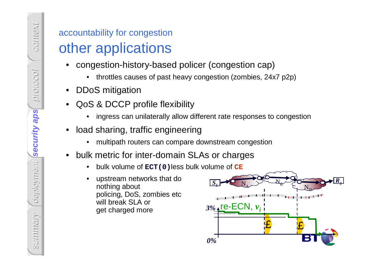- -
- 

context

protocol

security aps

**security aps**

deployment

- -
- -
- -
	-

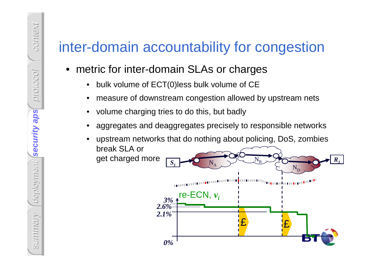### inter-domain accountability for congestion

- metric for inter-domain SLAs or charges
	- •bulk volume of ECT(0)less bulk volume of CE
	- •measure of downstream congestion allowed by upstream nets
	- •volume charging tries to do this, but badly
	- • aggregates and deaggregates precisely to responsible networks
		- £ $\boldsymbol{\varphi}$  upstream networks that do nothing about policing, DoS, zombies break SLA or get charged more*0%*re-ECN, *vi 3% 2.6%*NA $\boldsymbol{\rm N}$ B $\boldsymbol{\rm N}$ D*S<sup>R</sup>112.1%*

•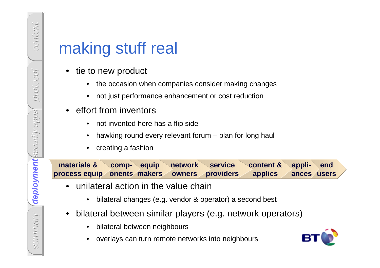- - the occasion when companies consider making changes
	- $\bullet$ not just performance enhancement or cost reduction
- effort from inventors
	- •not invented here has a flip side
	- •hawking round every relevant forum – plan for long haul
	- •creating a fashion

**summary stuff real •** tie to new product<br>
• tie to new product<br>
• the occasion when companies consider making change<br>
• or tight is performance enhancement or cost reduction<br>
• effort from inventors<br>
• tot invented here h **materials & process equipcomponentsequip makers network owners service providers content & applics appli- ances end users**

- • unilateral action in the value chain
	- •bilateral changes (e.g. vendor & operator) a second best
- • bilateral between similar players (e.g. network operators)
	- •bilateral between neighbours
	- •overlays can turn remote networks into neighbours

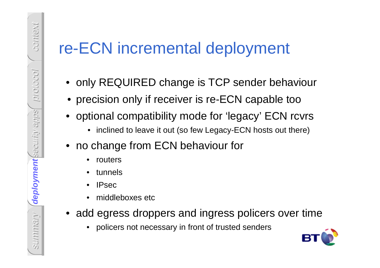# summary re-ECN incremental deployment<br>
• only REQUIRED change is TCP sender behaviour<br>
• precision only if receiver is re-ECN capable too<br>
• optional compatibility mode for 'legacy' ECN rcvrs<br>
• inclined to leave it out (s

- 
- •precision only if receiver is re-ECN capable too
- optional compatibility mode for 'legacy' ECN rcvrs
	- inclined to leave it out (so few Legacy-ECN hosts out there)
- no change from ECN behaviour for
	- $\bullet$ routers

context

protocol

security apps

deployment

**deployment**

- •tunnels
- •IPsec
- •middleboxes etc
- add egress droppers and ingress policers over time
	- •policers not necessary in front of trusted senders

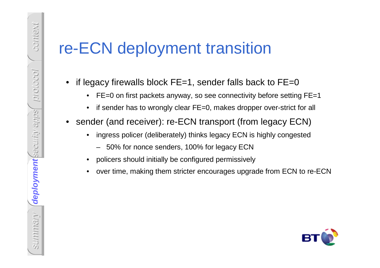# **FE-CN deployment transition**<br>
• if legacy firewalls block FE=1, sender falls back to FE=0<br>
• FE=0 on first packets anyway, so see connectivity before setting FE=1<br>
• if sender has to wrongly clear FE=0, makes dropper ove

- -
	-
- - -
	-
	-

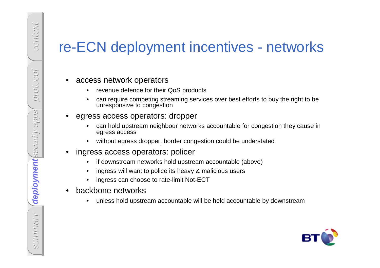# THE CON deployment incentives - networks<br>
• access network operators<br>
• wereld defence for their QoS products<br>
• can require competing streaming services over best efforts to buy the right to be<br>
• express access to perato

context

protocol

security apps

deployment

- 
- 
- -
	-
- -
	-
	-
- 
- if downstream networks hold upstream accountable (above)<br>• ingress will want to police its heavy & malicious users<br>• ingress can choose to rate-limit Not-ECT<br>• backbone networks<br>• unless hold upstream accountable will be

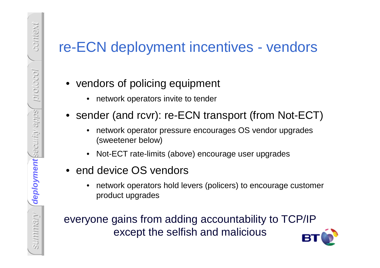- -
- -
	- Not-ECT rate-limits (above) encourage user upgrades
- end device OS vendors
	- • network operators hold levers (policers) to encourage customer product upgrades

The FCN deployment incentives - vendors<br>
• vendors of policing equipment<br>
• sender (and rcvr): re-ECN transport (from Not-ECT)<br>
• network operator pressure encourages OS vendor upgrades<br>
(sweetener below)<br>
• Not-ECT rate-l everyone gains from adding accountability to TCP/IPexcept the selfish and malicious